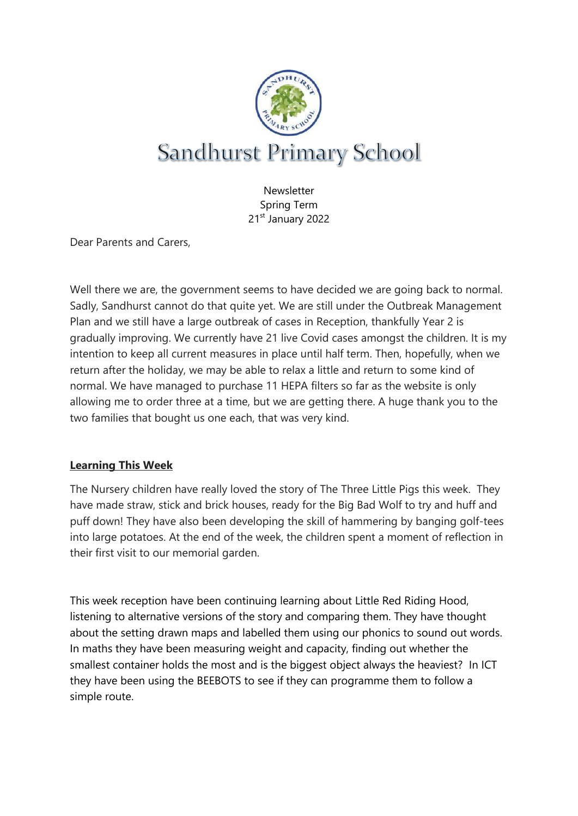

**Newsletter** Spring Term 21st January 2022

Dear Parents and Carers,

Well there we are, the government seems to have decided we are going back to normal. Sadly, Sandhurst cannot do that quite yet. We are still under the Outbreak Management Plan and we still have a large outbreak of cases in Reception, thankfully Year 2 is gradually improving. We currently have 21 live Covid cases amongst the children. It is my intention to keep all current measures in place until half term. Then, hopefully, when we return after the holiday, we may be able to relax a little and return to some kind of normal. We have managed to purchase 11 HEPA filters so far as the website is only allowing me to order three at a time, but we are getting there. A huge thank you to the two families that bought us one each, that was very kind.

## **Learning This Week**

The Nursery children have really loved the story of The Three Little Pigs this week. They have made straw, stick and brick houses, ready for the Big Bad Wolf to try and huff and puff down! They have also been developing the skill of hammering by banging golf-tees into large potatoes. At the end of the week, the children spent a moment of reflection in their first visit to our memorial garden.

This week reception have been continuing learning about Little Red Riding Hood, listening to alternative versions of the story and comparing them. They have thought about the setting drawn maps and labelled them using our phonics to sound out words. In maths they have been measuring weight and capacity, finding out whether the smallest container holds the most and is the biggest object always the heaviest? In ICT they have been using the BEEBOTS to see if they can programme them to follow a simple route.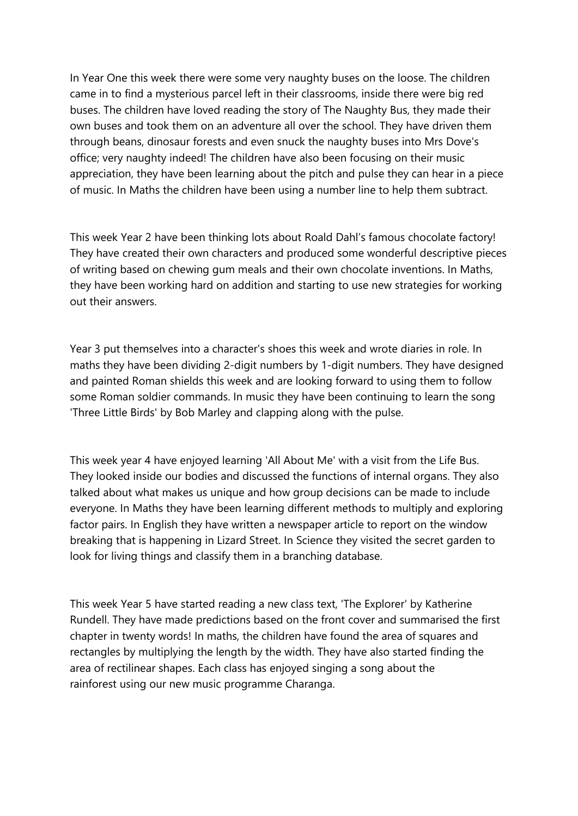In Year One this week there were some very naughty buses on the loose. The children came in to find a mysterious parcel left in their classrooms, inside there were big red buses. The children have loved reading the story of The Naughty Bus, they made their own buses and took them on an adventure all over the school. They have driven them through beans, dinosaur forests and even snuck the naughty buses into Mrs Dove's office; very naughty indeed! The children have also been focusing on their music appreciation, they have been learning about the pitch and pulse they can hear in a piece of music. In Maths the children have been using a number line to help them subtract.

This week Year 2 have been thinking lots about Roald Dahl's famous chocolate factory! They have created their own characters and produced some wonderful descriptive pieces of writing based on chewing gum meals and their own chocolate inventions. In Maths, they have been working hard on addition and starting to use new strategies for working out their answers.

Year 3 put themselves into a character's shoes this week and wrote diaries in role. In maths they have been dividing 2-digit numbers by 1-digit numbers. They have designed and painted Roman shields this week and are looking forward to using them to follow some Roman soldier commands. In music they have been continuing to learn the song 'Three Little Birds' by Bob Marley and clapping along with the pulse.

This week year 4 have enjoyed learning 'All About Me' with a visit from the Life Bus. They looked inside our bodies and discussed the functions of internal organs. They also talked about what makes us unique and how group decisions can be made to include everyone. In Maths they have been learning different methods to multiply and exploring factor pairs. In English they have written a newspaper article to report on the window breaking that is happening in Lizard Street. In Science they visited the secret garden to look for living things and classify them in a branching database.

This week Year 5 have started reading a new class text, 'The Explorer' by Katherine Rundell. They have made predictions based on the front cover and summarised the first chapter in twenty words! In maths, the children have found the area of squares and rectangles by multiplying the length by the width. They have also started finding the area of rectilinear shapes. Each class has enjoyed singing a song about the rainforest using our new music programme Charanga.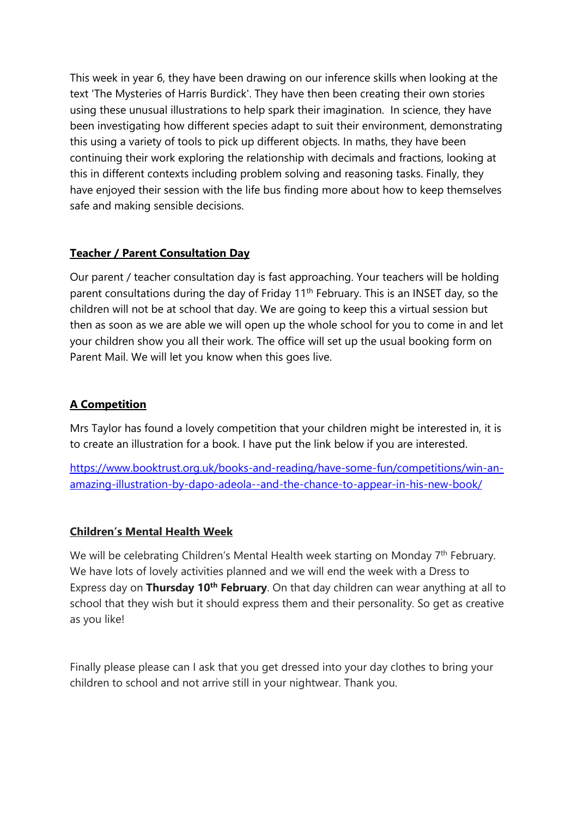This week in year 6, they have been drawing on our inference skills when looking at the text 'The Mysteries of Harris Burdick'. They have then been creating their own stories using these unusual illustrations to help spark their imagination. In science, they have been investigating how different species adapt to suit their environment, demonstrating this using a variety of tools to pick up different objects. In maths, they have been continuing their work exploring the relationship with decimals and fractions, looking at this in different contexts including problem solving and reasoning tasks. Finally, they have enjoyed their session with the life bus finding more about how to keep themselves safe and making sensible decisions.

## **Teacher / Parent Consultation Day**

Our parent / teacher consultation day is fast approaching. Your teachers will be holding parent consultations during the day of Friday 11<sup>th</sup> February. This is an INSET day, so the children will not be at school that day. We are going to keep this a virtual session but then as soon as we are able we will open up the whole school for you to come in and let your children show you all their work. The office will set up the usual booking form on Parent Mail. We will let you know when this goes live.

## **A Competition**

Mrs Taylor has found a lovely competition that your children might be interested in, it is to create an illustration for a book. I have put the link below if you are interested.

[https://www.booktrust.org.uk/books-and-reading/have-some-fun/competitions/win-an](https://www.booktrust.org.uk/books-and-reading/have-some-fun/competitions/win-an-amazing-illustration-by-dapo-adeola--and-the-chance-to-appear-in-his-new-book/)[amazing-illustration-by-dapo-adeola--and-the-chance-to-appear-in-his-new-book/](https://www.booktrust.org.uk/books-and-reading/have-some-fun/competitions/win-an-amazing-illustration-by-dapo-adeola--and-the-chance-to-appear-in-his-new-book/)

## **Children's Mental Health Week**

We will be celebrating Children's Mental Health week starting on Monday  $7<sup>th</sup>$  February. We have lots of lovely activities planned and we will end the week with a Dress to Express day on **Thursday 10th February**. On that day children can wear anything at all to school that they wish but it should express them and their personality. So get as creative as you like!

Finally please please can I ask that you get dressed into your day clothes to bring your children to school and not arrive still in your nightwear. Thank you.